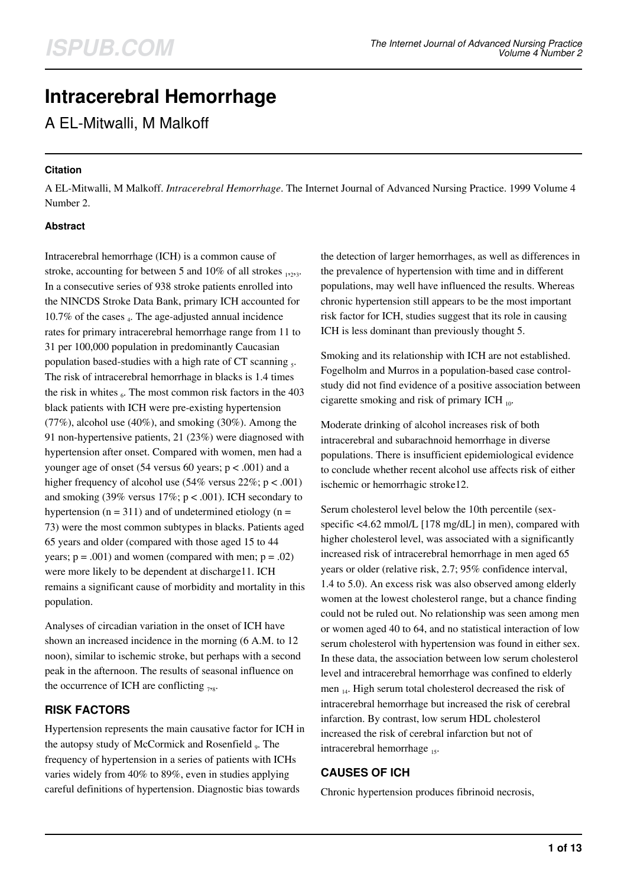# **Intracerebral Hemorrhage**

A EL-Mitwalli, M Malkoff

## **Citation**

A EL-Mitwalli, M Malkoff. *Intracerebral Hemorrhage*. The Internet Journal of Advanced Nursing Practice. 1999 Volume 4 Number 2.

## **Abstract**

Intracerebral hemorrhage (ICH) is a common cause of stroke, accounting for between 5 and 10% of all strokes  $_{1223}$ . In a consecutive series of 938 stroke patients enrolled into the NINCDS Stroke Data Bank, primary ICH accounted for 10.7% of the cases  $_4$ . The age-adjusted annual incidence rates for primary intracerebral hemorrhage range from 11 to 31 per 100,000 population in predominantly Caucasian population based-studies with a high rate of CT scanning  $_5$ . The risk of intracerebral hemorrhage in blacks is 1.4 times the risk in whites  $_6$ . The most common risk factors in the 403 black patients with ICH were pre-existing hypertension  $(77\%)$ , alcohol use  $(40\%)$ , and smoking  $(30\%)$ . Among the 91 non-hypertensive patients, 21 (23%) were diagnosed with hypertension after onset. Compared with women, men had a younger age of onset (54 versus 60 years;  $p < .001$ ) and a higher frequency of alcohol use  $(54\% \text{ versus } 22\%; \text{ p} < .001)$ and smoking (39% versus  $17\%$ ; p < .001). ICH secondary to hypertension ( $n = 311$ ) and of undetermined etiology ( $n =$ 73) were the most common subtypes in blacks. Patients aged 65 years and older (compared with those aged 15 to 44 years;  $p = .001$ ) and women (compared with men;  $p = .02$ ) were more likely to be dependent at discharge11. ICH remains a significant cause of morbidity and mortality in this population.

Analyses of circadian variation in the onset of ICH have shown an increased incidence in the morning (6 A.M. to 12 noon), similar to ischemic stroke, but perhaps with a second peak in the afternoon. The results of seasonal influence on the occurrence of ICH are conflicting  $_{78}$ .

# **RISK FACTORS**

Hypertension represents the main causative factor for ICH in the autopsy study of McCormick and Rosenfield <sub>9</sub>. The frequency of hypertension in a series of patients with ICHs varies widely from 40% to 89%, even in studies applying careful definitions of hypertension. Diagnostic bias towards

the detection of larger hemorrhages, as well as differences in the prevalence of hypertension with time and in different populations, may well have influenced the results. Whereas chronic hypertension still appears to be the most important risk factor for ICH, studies suggest that its role in causing ICH is less dominant than previously thought 5.

Smoking and its relationship with ICH are not established. Fogelholm and Murros in a population-based case controlstudy did not find evidence of a positive association between cigarette smoking and risk of primary ICH  $_{10}$ .

Moderate drinking of alcohol increases risk of both intracerebral and subarachnoid hemorrhage in diverse populations. There is insufficient epidemiological evidence to conclude whether recent alcohol use affects risk of either ischemic or hemorrhagic stroke12.

Serum cholesterol level below the 10th percentile (sexspecific <4.62 mmol/L [178 mg/dL] in men), compared with higher cholesterol level, was associated with a significantly increased risk of intracerebral hemorrhage in men aged 65 years or older (relative risk, 2.7; 95% confidence interval, 1.4 to 5.0). An excess risk was also observed among elderly women at the lowest cholesterol range, but a chance finding could not be ruled out. No relationship was seen among men or women aged 40 to 64, and no statistical interaction of low serum cholesterol with hypertension was found in either sex. In these data, the association between low serum cholesterol level and intracerebral hemorrhage was confined to elderly men 14. High serum total cholesterol decreased the risk of intracerebral hemorrhage but increased the risk of cerebral infarction. By contrast, low serum HDL cholesterol increased the risk of cerebral infarction but not of intracerebral hemorrhage 15.

# **CAUSES OF ICH**

Chronic hypertension produces fibrinoid necrosis,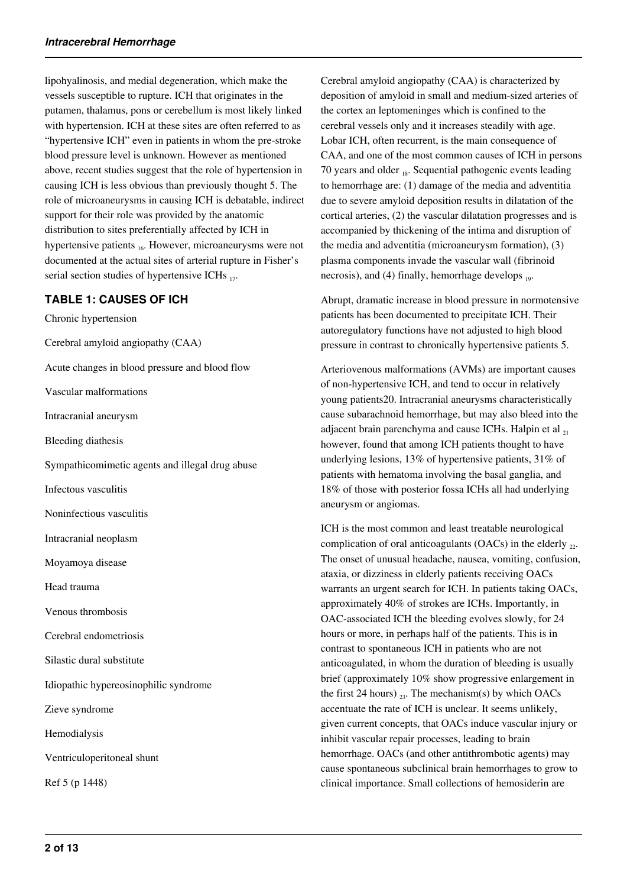lipohyalinosis, and medial degeneration, which make the vessels susceptible to rupture. ICH that originates in the putamen, thalamus, pons or cerebellum is most likely linked with hypertension. ICH at these sites are often referred to as "hypertensive ICH" even in patients in whom the pre-stroke blood pressure level is unknown. However as mentioned above, recent studies suggest that the role of hypertension in causing ICH is less obvious than previously thought 5. The role of microaneurysms in causing ICH is debatable, indirect support for their role was provided by the anatomic distribution to sites preferentially affected by ICH in hypertensive patients <sub>16</sub>. However, microaneurysms were not documented at the actual sites of arterial rupture in Fisher's serial section studies of hypertensive ICHs  $_{17}$ .

# **TABLE 1: CAUSES OF ICH**

Chronic hypertension

Cerebral amyloid angiopathy (CAA)

Acute changes in blood pressure and blood flow

Vascular malformations

Intracranial aneurysm

Bleeding diathesis

Sympathicomimetic agents and illegal drug abuse

Infectous vasculitis

Noninfectious vasculitis

Intracranial neoplasm

Moyamoya disease

Head trauma

Venous thrombosis

Cerebral endometriosis

Silastic dural substitute

Idiopathic hypereosinophilic syndrome

Zieve syndrome

Hemodialysis

Ventriculoperitoneal shunt

Ref 5 (p 1448)

Cerebral amyloid angiopathy (CAA) is characterized by deposition of amyloid in small and medium-sized arteries of the cortex an leptomeninges which is confined to the cerebral vessels only and it increases steadily with age. Lobar ICH, often recurrent, is the main consequence of CAA, and one of the most common causes of ICH in persons 70 years and older 18. Sequential pathogenic events leading to hemorrhage are: (1) damage of the media and adventitia due to severe amyloid deposition results in dilatation of the cortical arteries, (2) the vascular dilatation progresses and is accompanied by thickening of the intima and disruption of the media and adventitia (microaneurysm formation), (3) plasma components invade the vascular wall (fibrinoid necrosis), and (4) finally, hemorrhage develops  $_{19}$ .

Abrupt, dramatic increase in blood pressure in normotensive patients has been documented to precipitate ICH. Their autoregulatory functions have not adjusted to high blood pressure in contrast to chronically hypertensive patients 5.

Arteriovenous malformations (AVMs) are important causes of non-hypertensive ICH, and tend to occur in relatively young patients20. Intracranial aneurysms characteristically cause subarachnoid hemorrhage, but may also bleed into the adjacent brain parenchyma and cause ICHs. Halpin et al 21 however, found that among ICH patients thought to have underlying lesions, 13% of hypertensive patients, 31% of patients with hematoma involving the basal ganglia, and 18% of those with posterior fossa ICHs all had underlying aneurysm or angiomas.

ICH is the most common and least treatable neurological complication of oral anticoagulants (OACs) in the elderly  $_{22}$ . The onset of unusual headache, nausea, vomiting, confusion, ataxia, or dizziness in elderly patients receiving OACs warrants an urgent search for ICH. In patients taking OACs, approximately 40% of strokes are ICHs. Importantly, in OAC-associated ICH the bleeding evolves slowly, for 24 hours or more, in perhaps half of the patients. This is in contrast to spontaneous ICH in patients who are not anticoagulated, in whom the duration of bleeding is usually brief (approximately 10% show progressive enlargement in the first 24 hours)  $_{23}$ . The mechanism(s) by which OACs accentuate the rate of ICH is unclear. It seems unlikely, given current concepts, that OACs induce vascular injury or inhibit vascular repair processes, leading to brain hemorrhage. OACs (and other antithrombotic agents) may cause spontaneous subclinical brain hemorrhages to grow to clinical importance. Small collections of hemosiderin are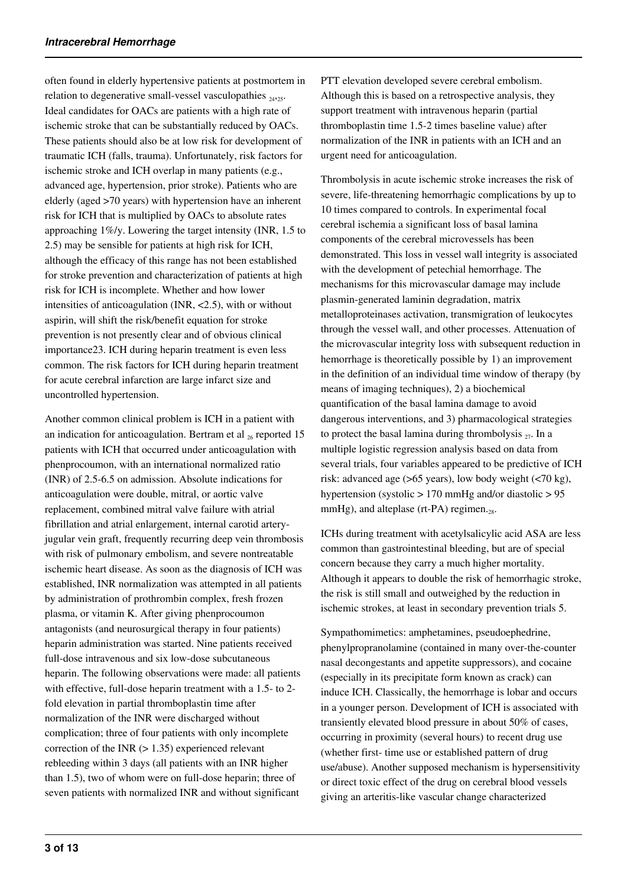often found in elderly hypertensive patients at postmortem in relation to degenerative small-vessel vasculopathies  $_{24,25}$ . Ideal candidates for OACs are patients with a high rate of ischemic stroke that can be substantially reduced by OACs. These patients should also be at low risk for development of traumatic ICH (falls, trauma). Unfortunately, risk factors for ischemic stroke and ICH overlap in many patients (e.g., advanced age, hypertension, prior stroke). Patients who are elderly (aged >70 years) with hypertension have an inherent risk for ICH that is multiplied by OACs to absolute rates approaching 1%/y. Lowering the target intensity (INR, 1.5 to 2.5) may be sensible for patients at high risk for ICH, although the efficacy of this range has not been established for stroke prevention and characterization of patients at high risk for ICH is incomplete. Whether and how lower intensities of anticoagulation (INR, <2.5), with or without aspirin, will shift the risk/benefit equation for stroke prevention is not presently clear and of obvious clinical importance23. ICH during heparin treatment is even less common. The risk factors for ICH during heparin treatment for acute cerebral infarction are large infarct size and uncontrolled hypertension.

Another common clinical problem is ICH in a patient with an indication for anticoagulation. Bertram et al  $_{26}$  reported 15 patients with ICH that occurred under anticoagulation with phenprocoumon, with an international normalized ratio (INR) of 2.5-6.5 on admission. Absolute indications for anticoagulation were double, mitral, or aortic valve replacement, combined mitral valve failure with atrial fibrillation and atrial enlargement, internal carotid arteryjugular vein graft, frequently recurring deep vein thrombosis with risk of pulmonary embolism, and severe nontreatable ischemic heart disease. As soon as the diagnosis of ICH was established, INR normalization was attempted in all patients by administration of prothrombin complex, fresh frozen plasma, or vitamin K. After giving phenprocoumon antagonists (and neurosurgical therapy in four patients) heparin administration was started. Nine patients received full-dose intravenous and six low-dose subcutaneous heparin. The following observations were made: all patients with effective, full-dose heparin treatment with a 1.5- to 2fold elevation in partial thromboplastin time after normalization of the INR were discharged without complication; three of four patients with only incomplete correction of the INR  $(> 1.35)$  experienced relevant rebleeding within 3 days (all patients with an INR higher than 1.5), two of whom were on full-dose heparin; three of seven patients with normalized INR and without significant

PTT elevation developed severe cerebral embolism. Although this is based on a retrospective analysis, they support treatment with intravenous heparin (partial thromboplastin time 1.5-2 times baseline value) after normalization of the INR in patients with an ICH and an urgent need for anticoagulation.

Thrombolysis in acute ischemic stroke increases the risk of severe, life-threatening hemorrhagic complications by up to 10 times compared to controls. In experimental focal cerebral ischemia a significant loss of basal lamina components of the cerebral microvessels has been demonstrated. This loss in vessel wall integrity is associated with the development of petechial hemorrhage. The mechanisms for this microvascular damage may include plasmin-generated laminin degradation, matrix metalloproteinases activation, transmigration of leukocytes through the vessel wall, and other processes. Attenuation of the microvascular integrity loss with subsequent reduction in hemorrhage is theoretically possible by 1) an improvement in the definition of an individual time window of therapy (by means of imaging techniques), 2) a biochemical quantification of the basal lamina damage to avoid dangerous interventions, and 3) pharmacological strategies to protect the basal lamina during thrombolysis  $_{27}$ . In a multiple logistic regression analysis based on data from several trials, four variables appeared to be predictive of ICH risk: advanced age (>65 years), low body weight (<70 kg), hypertension (systolic > 170 mmHg and/or diastolic > 95 mmHg), and alteplase (rt-PA) regimen. $_{28}$ .

ICHs during treatment with acetylsalicylic acid ASA are less common than gastrointestinal bleeding, but are of special concern because they carry a much higher mortality. Although it appears to double the risk of hemorrhagic stroke, the risk is still small and outweighed by the reduction in ischemic strokes, at least in secondary prevention trials 5.

Sympathomimetics: amphetamines, pseudoephedrine, phenylpropranolamine (contained in many over-the-counter nasal decongestants and appetite suppressors), and cocaine (especially in its precipitate form known as crack) can induce ICH. Classically, the hemorrhage is lobar and occurs in a younger person. Development of ICH is associated with transiently elevated blood pressure in about 50% of cases, occurring in proximity (several hours) to recent drug use (whether first- time use or established pattern of drug use/abuse). Another supposed mechanism is hypersensitivity or direct toxic effect of the drug on cerebral blood vessels giving an arteritis-like vascular change characterized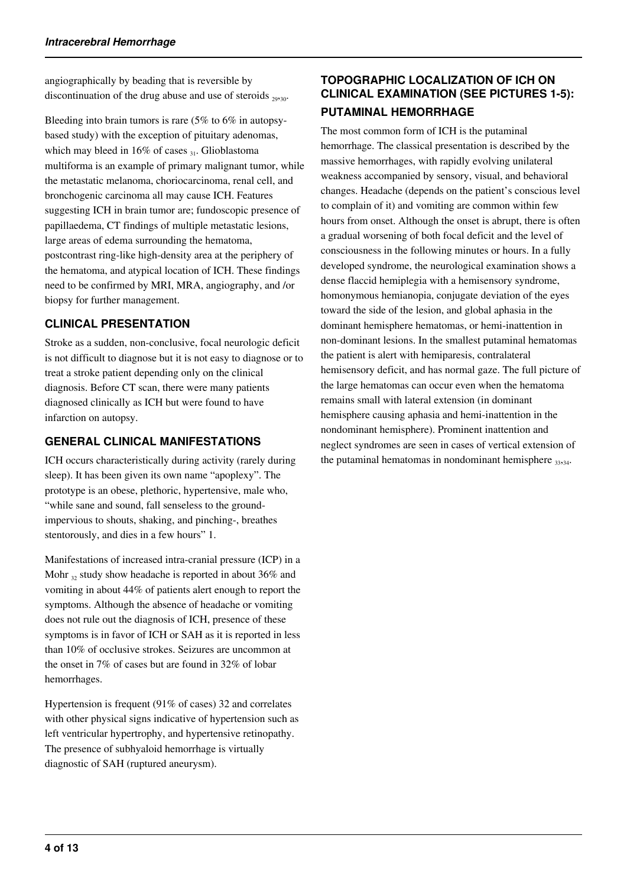angiographically by beading that is reversible by discontinuation of the drug abuse and use of steroids  $_{29,30}$ .

Bleeding into brain tumors is rare (5% to 6% in autopsybased study) with the exception of pituitary adenomas, which may bleed in  $16\%$  of cases  $_{31}$ . Glioblastoma multiforma is an example of primary malignant tumor, while the metastatic melanoma, choriocarcinoma, renal cell, and bronchogenic carcinoma all may cause ICH. Features suggesting ICH in brain tumor are; fundoscopic presence of papillaedema, CT findings of multiple metastatic lesions, large areas of edema surrounding the hematoma, postcontrast ring-like high-density area at the periphery of the hematoma, and atypical location of ICH. These findings need to be confirmed by MRI, MRA, angiography, and /or biopsy for further management.

# **CLINICAL PRESENTATION**

Stroke as a sudden, non-conclusive, focal neurologic deficit is not difficult to diagnose but it is not easy to diagnose or to treat a stroke patient depending only on the clinical diagnosis. Before CT scan, there were many patients diagnosed clinically as ICH but were found to have infarction on autopsy.

# **GENERAL CLINICAL MANIFESTATIONS**

ICH occurs characteristically during activity (rarely during sleep). It has been given its own name "apoplexy". The prototype is an obese, plethoric, hypertensive, male who, "while sane and sound, fall senseless to the groundimpervious to shouts, shaking, and pinching-, breathes stentorously, and dies in a few hours" 1.

Manifestations of increased intra-cranial pressure (ICP) in a Mohr  $_{32}$  study show headache is reported in about 36% and vomiting in about 44% of patients alert enough to report the symptoms. Although the absence of headache or vomiting does not rule out the diagnosis of ICH, presence of these symptoms is in favor of ICH or SAH as it is reported in less than 10% of occlusive strokes. Seizures are uncommon at the onset in 7% of cases but are found in 32% of lobar hemorrhages.

Hypertension is frequent (91% of cases) 32 and correlates with other physical signs indicative of hypertension such as left ventricular hypertrophy, and hypertensive retinopathy. The presence of subhyaloid hemorrhage is virtually diagnostic of SAH (ruptured aneurysm).

# **TOPOGRAPHIC LOCALIZATION OF ICH ON CLINICAL EXAMINATION (SEE PICTURES 1-5): PUTAMINAL HEMORRHAGE**

The most common form of ICH is the putaminal hemorrhage. The classical presentation is described by the massive hemorrhages, with rapidly evolving unilateral weakness accompanied by sensory, visual, and behavioral changes. Headache (depends on the patient's conscious level to complain of it) and vomiting are common within few hours from onset. Although the onset is abrupt, there is often a gradual worsening of both focal deficit and the level of consciousness in the following minutes or hours. In a fully developed syndrome, the neurological examination shows a dense flaccid hemiplegia with a hemisensory syndrome, homonymous hemianopia, conjugate deviation of the eyes toward the side of the lesion, and global aphasia in the dominant hemisphere hematomas, or hemi-inattention in non-dominant lesions. In the smallest putaminal hematomas the patient is alert with hemiparesis, contralateral hemisensory deficit, and has normal gaze. The full picture of the large hematomas can occur even when the hematoma remains small with lateral extension (in dominant hemisphere causing aphasia and hemi-inattention in the nondominant hemisphere). Prominent inattention and neglect syndromes are seen in cases of vertical extension of the putaminal hematomas in nondominant hemisphere  $_{33,34}$ .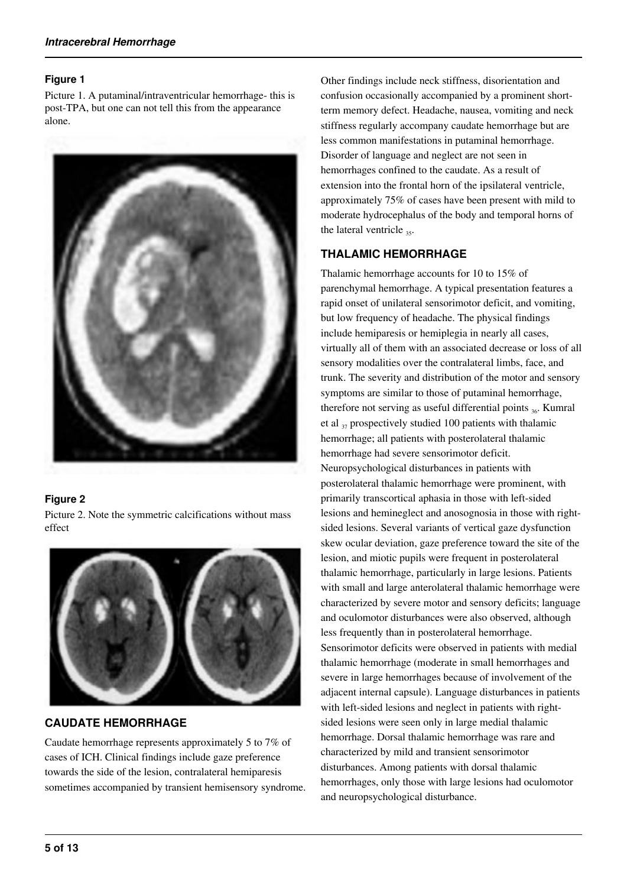#### **Figure 1**

Picture 1. A putaminal/intraventricular hemorrhage- this is post-TPA, but one can not tell this from the appearance alone.



### **Figure 2**

Picture 2. Note the symmetric calcifications without mass effect



# **CAUDATE HEMORRHAGE**

Caudate hemorrhage represents approximately 5 to 7% of cases of ICH. Clinical findings include gaze preference towards the side of the lesion, contralateral hemiparesis sometimes accompanied by transient hemisensory syndrome. Other findings include neck stiffness, disorientation and confusion occasionally accompanied by a prominent shortterm memory defect. Headache, nausea, vomiting and neck stiffness regularly accompany caudate hemorrhage but are less common manifestations in putaminal hemorrhage. Disorder of language and neglect are not seen in hemorrhages confined to the caudate. As a result of extension into the frontal horn of the ipsilateral ventricle, approximately 75% of cases have been present with mild to moderate hydrocephalus of the body and temporal horns of the lateral ventricle  $_{35}$ .

# **THALAMIC HEMORRHAGE**

Thalamic hemorrhage accounts for 10 to 15% of parenchymal hemorrhage. A typical presentation features a rapid onset of unilateral sensorimotor deficit, and vomiting, but low frequency of headache. The physical findings include hemiparesis or hemiplegia in nearly all cases, virtually all of them with an associated decrease or loss of all sensory modalities over the contralateral limbs, face, and trunk. The severity and distribution of the motor and sensory symptoms are similar to those of putaminal hemorrhage, therefore not serving as useful differential points  $_{36}$ . Kumral et al  $37$  prospectively studied 100 patients with thalamic hemorrhage; all patients with posterolateral thalamic hemorrhage had severe sensorimotor deficit. Neuropsychological disturbances in patients with posterolateral thalamic hemorrhage were prominent, with primarily transcortical aphasia in those with left-sided lesions and hemineglect and anosognosia in those with rightsided lesions. Several variants of vertical gaze dysfunction skew ocular deviation, gaze preference toward the site of the lesion, and miotic pupils were frequent in posterolateral thalamic hemorrhage, particularly in large lesions. Patients with small and large anterolateral thalamic hemorrhage were characterized by severe motor and sensory deficits; language and oculomotor disturbances were also observed, although less frequently than in posterolateral hemorrhage. Sensorimotor deficits were observed in patients with medial thalamic hemorrhage (moderate in small hemorrhages and severe in large hemorrhages because of involvement of the adjacent internal capsule). Language disturbances in patients with left-sided lesions and neglect in patients with rightsided lesions were seen only in large medial thalamic hemorrhage. Dorsal thalamic hemorrhage was rare and characterized by mild and transient sensorimotor disturbances. Among patients with dorsal thalamic hemorrhages, only those with large lesions had oculomotor and neuropsychological disturbance.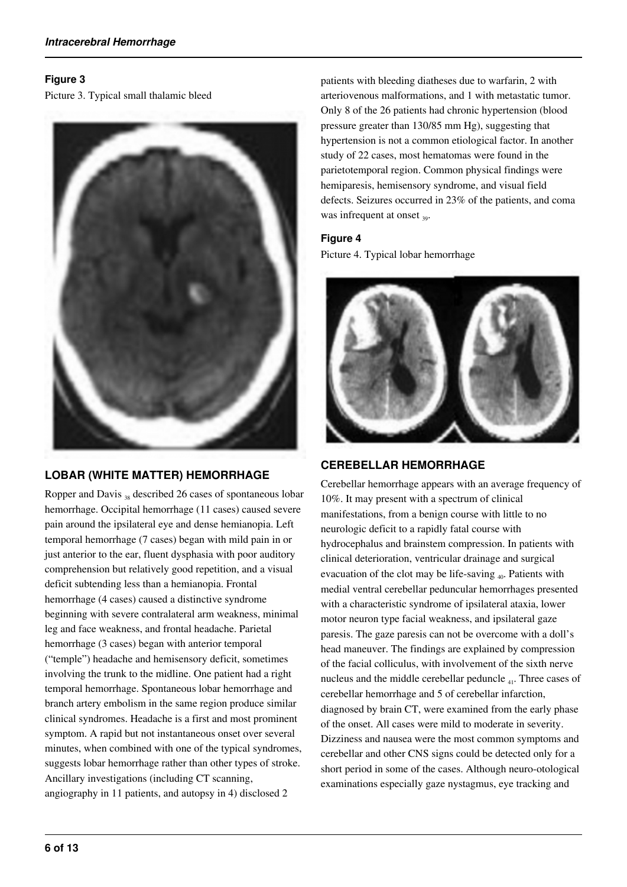## **Figure 3**

Picture 3. Typical small thalamic bleed



# **LOBAR (WHITE MATTER) HEMORRHAGE**

Ropper and Davis 38 described 26 cases of spontaneous lobar hemorrhage. Occipital hemorrhage (11 cases) caused severe pain around the ipsilateral eye and dense hemianopia. Left temporal hemorrhage (7 cases) began with mild pain in or just anterior to the ear, fluent dysphasia with poor auditory comprehension but relatively good repetition, and a visual deficit subtending less than a hemianopia. Frontal hemorrhage (4 cases) caused a distinctive syndrome beginning with severe contralateral arm weakness, minimal leg and face weakness, and frontal headache. Parietal hemorrhage (3 cases) began with anterior temporal ("temple") headache and hemisensory deficit, sometimes involving the trunk to the midline. One patient had a right temporal hemorrhage. Spontaneous lobar hemorrhage and branch artery embolism in the same region produce similar clinical syndromes. Headache is a first and most prominent symptom. A rapid but not instantaneous onset over several minutes, when combined with one of the typical syndromes, suggests lobar hemorrhage rather than other types of stroke. Ancillary investigations (including CT scanning, angiography in 11 patients, and autopsy in 4) disclosed 2

patients with bleeding diatheses due to warfarin, 2 with arteriovenous malformations, and 1 with metastatic tumor. Only 8 of the 26 patients had chronic hypertension (blood pressure greater than 130/85 mm Hg), suggesting that hypertension is not a common etiological factor. In another study of 22 cases, most hematomas were found in the parietotemporal region. Common physical findings were hemiparesis, hemisensory syndrome, and visual field defects. Seizures occurred in 23% of the patients, and coma was infrequent at onset  $_{39}$ .

# **Figure 4**

Picture 4. Typical lobar hemorrhage



# **CEREBELLAR HEMORRHAGE**

Cerebellar hemorrhage appears with an average frequency of 10%. It may present with a spectrum of clinical manifestations, from a benign course with little to no neurologic deficit to a rapidly fatal course with hydrocephalus and brainstem compression. In patients with clinical deterioration, ventricular drainage and surgical evacuation of the clot may be life-saving  $_{40}$ . Patients with medial ventral cerebellar peduncular hemorrhages presented with a characteristic syndrome of ipsilateral ataxia, lower motor neuron type facial weakness, and ipsilateral gaze paresis. The gaze paresis can not be overcome with a doll's head maneuver. The findings are explained by compression of the facial colliculus, with involvement of the sixth nerve nucleus and the middle cerebellar peduncle 41. Three cases of cerebellar hemorrhage and 5 of cerebellar infarction, diagnosed by brain CT, were examined from the early phase of the onset. All cases were mild to moderate in severity. Dizziness and nausea were the most common symptoms and cerebellar and other CNS signs could be detected only for a short period in some of the cases. Although neuro-otological examinations especially gaze nystagmus, eye tracking and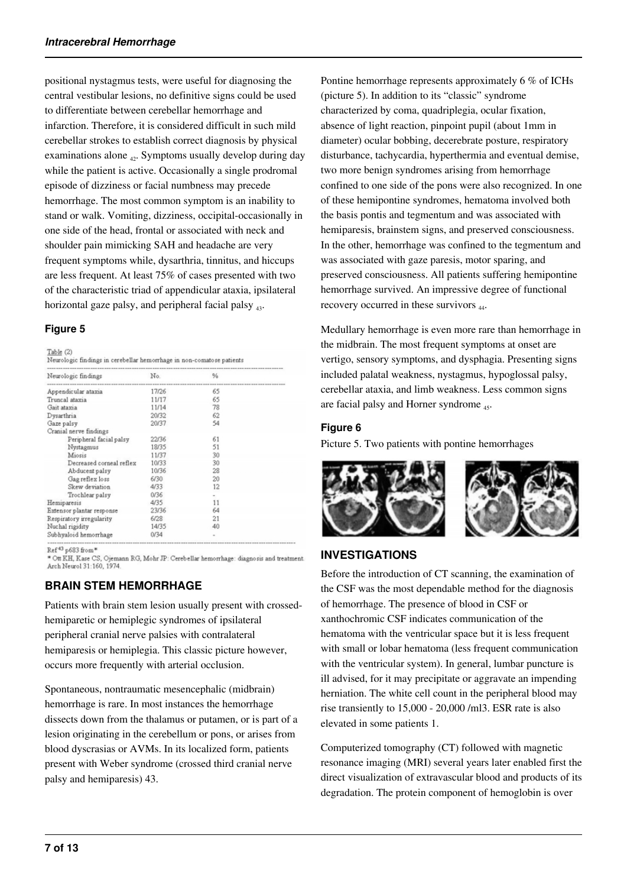positional nystagmus tests, were useful for diagnosing the central vestibular lesions, no definitive signs could be used to differentiate between cerebellar hemorrhage and infarction. Therefore, it is considered difficult in such mild cerebellar strokes to establish correct diagnosis by physical examinations alone  $_{42}$ . Symptoms usually develop during day while the patient is active. Occasionally a single prodromal episode of dizziness or facial numbness may precede hemorrhage. The most common symptom is an inability to stand or walk. Vomiting, dizziness, occipital-occasionally in one side of the head, frontal or associated with neck and shoulder pain mimicking SAH and headache are very frequent symptoms while, dysarthria, tinnitus, and hiccups are less frequent. At least 75% of cases presented with two of the characteristic triad of appendicular ataxia, ipsilateral horizontal gaze palsy, and peripheral facial palsy  $_{43}$ .

# **Figure 5**

| Neurologic findings       | No.   | $\frac{9}{9}$ |  |
|---------------------------|-------|---------------|--|
| Appendicular ataxia       | 17/26 | 65            |  |
| Truncal ataxia            | 11/17 | 65            |  |
| Gait ataxia               | 11/14 | 78            |  |
| Dysarthria                | 20/32 | 62            |  |
| Gaze palsy                | 20/37 | 54            |  |
| Cranial nerve findings    |       |               |  |
| Peripheral facial palsy   | 22/36 | 61            |  |
| Nystagmus                 | 18/35 | 51            |  |
| Miosis                    | 11/37 | 30            |  |
| Decreased corneal reflex  | 10/33 | 30            |  |
| Abducent palsy            | 10/36 | 28            |  |
| Gag reflex loss           | 6/30  | 20            |  |
| Skew deviation            | 4/33  | 12            |  |
| Trochlear palsy           | 0/36  |               |  |
| Hemiparesis               | 4/35  | 11            |  |
| Extensor plantar response | 23/36 | 64            |  |
| Respiratory irregularity  | 6/28  | 21            |  |
| Nuchal rigidity           | 14/35 | 40            |  |
| Subhyaloid hemorrhage     | 0/34  | $\sim$        |  |

Ref<sup>43</sup> p683 from\*

\* Ott KH, Kase CS, Ojemann RG, Mohr JP: Cerebellar hemorrhage: diagnosis and treatment.<br>Arch Neurol 31:160, 1974.

# **BRAIN STEM HEMORRHAGE**

Patients with brain stem lesion usually present with crossedhemiparetic or hemiplegic syndromes of ipsilateral peripheral cranial nerve palsies with contralateral hemiparesis or hemiplegia. This classic picture however, occurs more frequently with arterial occlusion.

Spontaneous, nontraumatic mesencephalic (midbrain) hemorrhage is rare. In most instances the hemorrhage dissects down from the thalamus or putamen, or is part of a lesion originating in the cerebellum or pons, or arises from blood dyscrasias or AVMs. In its localized form, patients present with Weber syndrome (crossed third cranial nerve palsy and hemiparesis) 43.

Pontine hemorrhage represents approximately 6 % of ICHs (picture 5). In addition to its "classic" syndrome characterized by coma, quadriplegia, ocular fixation, absence of light reaction, pinpoint pupil (about 1mm in diameter) ocular bobbing, decerebrate posture, respiratory disturbance, tachycardia, hyperthermia and eventual demise, two more benign syndromes arising from hemorrhage confined to one side of the pons were also recognized. In one of these hemipontine syndromes, hematoma involved both the basis pontis and tegmentum and was associated with hemiparesis, brainstem signs, and preserved consciousness. In the other, hemorrhage was confined to the tegmentum and was associated with gaze paresis, motor sparing, and preserved consciousness. All patients suffering hemipontine hemorrhage survived. An impressive degree of functional recovery occurred in these survivors  $_{44}$ .

Medullary hemorrhage is even more rare than hemorrhage in the midbrain. The most frequent symptoms at onset are vertigo, sensory symptoms, and dysphagia. Presenting signs included palatal weakness, nystagmus, hypoglossal palsy, cerebellar ataxia, and limb weakness. Less common signs are facial palsy and Horner syndrome  $_{45}$ .

# **Figure 6**

Picture 5. Two patients with pontine hemorrhages





# **INVESTIGATIONS**

Before the introduction of CT scanning, the examination of the CSF was the most dependable method for the diagnosis of hemorrhage. The presence of blood in CSF or xanthochromic CSF indicates communication of the hematoma with the ventricular space but it is less frequent with small or lobar hematoma (less frequent communication with the ventricular system). In general, lumbar puncture is ill advised, for it may precipitate or aggravate an impending herniation. The white cell count in the peripheral blood may rise transiently to 15,000 - 20,000 /ml3. ESR rate is also elevated in some patients 1.

Computerized tomography (CT) followed with magnetic resonance imaging (MRI) several years later enabled first the direct visualization of extravascular blood and products of its degradation. The protein component of hemoglobin is over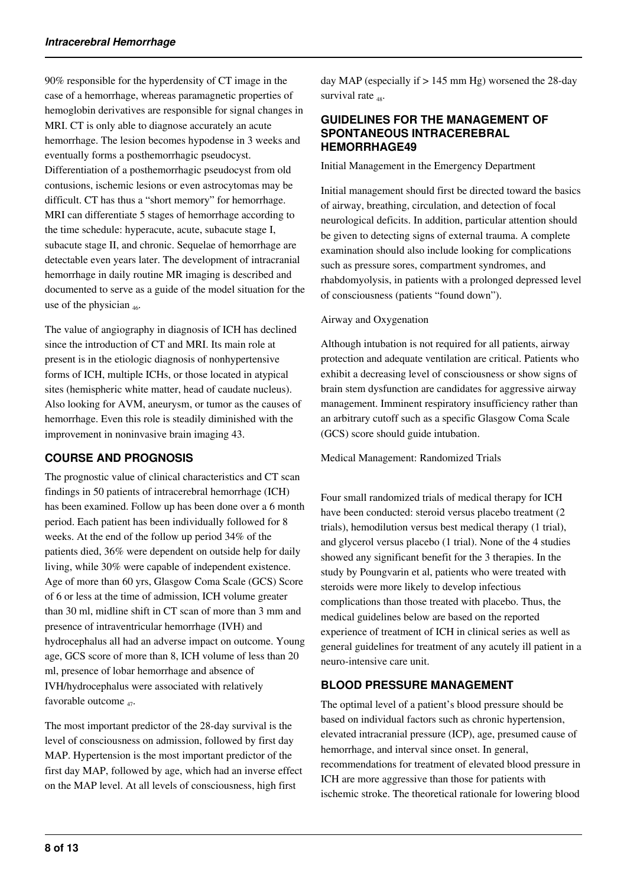90% responsible for the hyperdensity of CT image in the case of a hemorrhage, whereas paramagnetic properties of hemoglobin derivatives are responsible for signal changes in MRI. CT is only able to diagnose accurately an acute hemorrhage. The lesion becomes hypodense in 3 weeks and eventually forms a posthemorrhagic pseudocyst. Differentiation of a posthemorrhagic pseudocyst from old contusions, ischemic lesions or even astrocytomas may be difficult. CT has thus a "short memory" for hemorrhage. MRI can differentiate 5 stages of hemorrhage according to the time schedule: hyperacute, acute, subacute stage I, subacute stage II, and chronic. Sequelae of hemorrhage are detectable even years later. The development of intracranial hemorrhage in daily routine MR imaging is described and documented to serve as a guide of the model situation for the use of the physician  $_{46}$ .

The value of angiography in diagnosis of ICH has declined since the introduction of CT and MRI. Its main role at present is in the etiologic diagnosis of nonhypertensive forms of ICH, multiple ICHs, or those located in atypical sites (hemispheric white matter, head of caudate nucleus). Also looking for AVM, aneurysm, or tumor as the causes of hemorrhage. Even this role is steadily diminished with the improvement in noninvasive brain imaging 43.

# **COURSE AND PROGNOSIS**

The prognostic value of clinical characteristics and CT scan findings in 50 patients of intracerebral hemorrhage (ICH) has been examined. Follow up has been done over a 6 month period. Each patient has been individually followed for 8 weeks. At the end of the follow up period 34% of the patients died, 36% were dependent on outside help for daily living, while 30% were capable of independent existence. Age of more than 60 yrs, Glasgow Coma Scale (GCS) Score of 6 or less at the time of admission, ICH volume greater than 30 ml, midline shift in CT scan of more than 3 mm and presence of intraventricular hemorrhage (IVH) and hydrocephalus all had an adverse impact on outcome. Young age, GCS score of more than 8, ICH volume of less than 20 ml, presence of lobar hemorrhage and absence of IVH/hydrocephalus were associated with relatively favorable outcome <sub>47</sub>.

The most important predictor of the 28-day survival is the level of consciousness on admission, followed by first day MAP. Hypertension is the most important predictor of the first day MAP, followed by age, which had an inverse effect on the MAP level. At all levels of consciousness, high first

day MAP (especially if > 145 mm Hg) worsened the 28-day survival rate <sub>48</sub>.

# **GUIDELINES FOR THE MANAGEMENT OF SPONTANEOUS INTRACEREBRAL HEMORRHAGE49**

Initial Management in the Emergency Department

Initial management should first be directed toward the basics of airway, breathing, circulation, and detection of focal neurological deficits. In addition, particular attention should be given to detecting signs of external trauma. A complete examination should also include looking for complications such as pressure sores, compartment syndromes, and rhabdomyolysis, in patients with a prolonged depressed level of consciousness (patients "found down").

## Airway and Oxygenation

Although intubation is not required for all patients, airway protection and adequate ventilation are critical. Patients who exhibit a decreasing level of consciousness or show signs of brain stem dysfunction are candidates for aggressive airway management. Imminent respiratory insufficiency rather than an arbitrary cutoff such as a specific Glasgow Coma Scale (GCS) score should guide intubation.

Medical Management: Randomized Trials

Four small randomized trials of medical therapy for ICH have been conducted: steroid versus placebo treatment (2 trials), hemodilution versus best medical therapy (1 trial), and glycerol versus placebo (1 trial). None of the 4 studies showed any significant benefit for the 3 therapies. In the study by Poungvarin et al, patients who were treated with steroids were more likely to develop infectious complications than those treated with placebo. Thus, the medical guidelines below are based on the reported experience of treatment of ICH in clinical series as well as general guidelines for treatment of any acutely ill patient in a neuro-intensive care unit.

# **BLOOD PRESSURE MANAGEMENT**

The optimal level of a patient's blood pressure should be based on individual factors such as chronic hypertension, elevated intracranial pressure (ICP), age, presumed cause of hemorrhage, and interval since onset. In general, recommendations for treatment of elevated blood pressure in ICH are more aggressive than those for patients with ischemic stroke. The theoretical rationale for lowering blood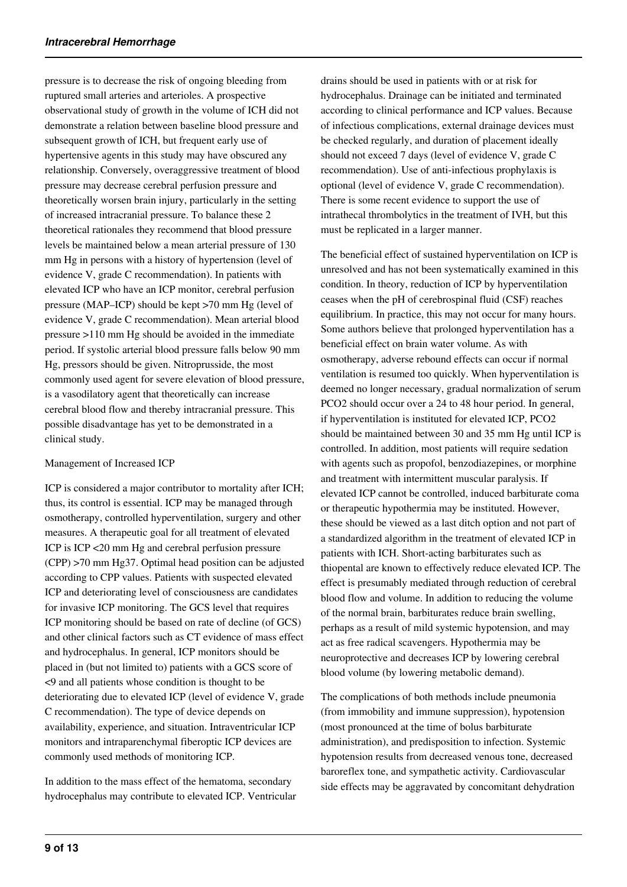pressure is to decrease the risk of ongoing bleeding from ruptured small arteries and arterioles. A prospective observational study of growth in the volume of ICH did not demonstrate a relation between baseline blood pressure and subsequent growth of ICH, but frequent early use of hypertensive agents in this study may have obscured any relationship. Conversely, overaggressive treatment of blood pressure may decrease cerebral perfusion pressure and theoretically worsen brain injury, particularly in the setting of increased intracranial pressure. To balance these 2 theoretical rationales they recommend that blood pressure levels be maintained below a mean arterial pressure of 130 mm Hg in persons with a history of hypertension (level of evidence V, grade C recommendation). In patients with elevated ICP who have an ICP monitor, cerebral perfusion pressure (MAP–ICP) should be kept >70 mm Hg (level of evidence V, grade C recommendation). Mean arterial blood pressure >110 mm Hg should be avoided in the immediate period. If systolic arterial blood pressure falls below 90 mm Hg, pressors should be given. Nitroprusside, the most commonly used agent for severe elevation of blood pressure, is a vasodilatory agent that theoretically can increase cerebral blood flow and thereby intracranial pressure. This possible disadvantage has yet to be demonstrated in a clinical study.

### Management of Increased ICP

ICP is considered a major contributor to mortality after ICH; thus, its control is essential. ICP may be managed through osmotherapy, controlled hyperventilation, surgery and other measures. A therapeutic goal for all treatment of elevated ICP is ICP <20 mm Hg and cerebral perfusion pressure (CPP) >70 mm Hg37. Optimal head position can be adjusted according to CPP values. Patients with suspected elevated ICP and deteriorating level of consciousness are candidates for invasive ICP monitoring. The GCS level that requires ICP monitoring should be based on rate of decline (of GCS) and other clinical factors such as CT evidence of mass effect and hydrocephalus. In general, ICP monitors should be placed in (but not limited to) patients with a GCS score of <9 and all patients whose condition is thought to be deteriorating due to elevated ICP (level of evidence V, grade C recommendation). The type of device depends on availability, experience, and situation. Intraventricular ICP monitors and intraparenchymal fiberoptic ICP devices are commonly used methods of monitoring ICP.

In addition to the mass effect of the hematoma, secondary hydrocephalus may contribute to elevated ICP. Ventricular drains should be used in patients with or at risk for hydrocephalus. Drainage can be initiated and terminated according to clinical performance and ICP values. Because of infectious complications, external drainage devices must be checked regularly, and duration of placement ideally should not exceed 7 days (level of evidence V, grade C recommendation). Use of anti-infectious prophylaxis is optional (level of evidence V, grade C recommendation). There is some recent evidence to support the use of intrathecal thrombolytics in the treatment of IVH, but this must be replicated in a larger manner.

The beneficial effect of sustained hyperventilation on ICP is unresolved and has not been systematically examined in this condition. In theory, reduction of ICP by hyperventilation ceases when the pH of cerebrospinal fluid (CSF) reaches equilibrium. In practice, this may not occur for many hours. Some authors believe that prolonged hyperventilation has a beneficial effect on brain water volume. As with osmotherapy, adverse rebound effects can occur if normal ventilation is resumed too quickly. When hyperventilation is deemed no longer necessary, gradual normalization of serum PCO2 should occur over a 24 to 48 hour period. In general, if hyperventilation is instituted for elevated ICP, PCO2 should be maintained between 30 and 35 mm Hg until ICP is controlled. In addition, most patients will require sedation with agents such as propofol, benzodiazepines, or morphine and treatment with intermittent muscular paralysis. If elevated ICP cannot be controlled, induced barbiturate coma or therapeutic hypothermia may be instituted. However, these should be viewed as a last ditch option and not part of a standardized algorithm in the treatment of elevated ICP in patients with ICH. Short-acting barbiturates such as thiopental are known to effectively reduce elevated ICP. The effect is presumably mediated through reduction of cerebral blood flow and volume. In addition to reducing the volume of the normal brain, barbiturates reduce brain swelling, perhaps as a result of mild systemic hypotension, and may act as free radical scavengers. Hypothermia may be neuroprotective and decreases ICP by lowering cerebral blood volume (by lowering metabolic demand).

The complications of both methods include pneumonia (from immobility and immune suppression), hypotension (most pronounced at the time of bolus barbiturate administration), and predisposition to infection. Systemic hypotension results from decreased venous tone, decreased baroreflex tone, and sympathetic activity. Cardiovascular side effects may be aggravated by concomitant dehydration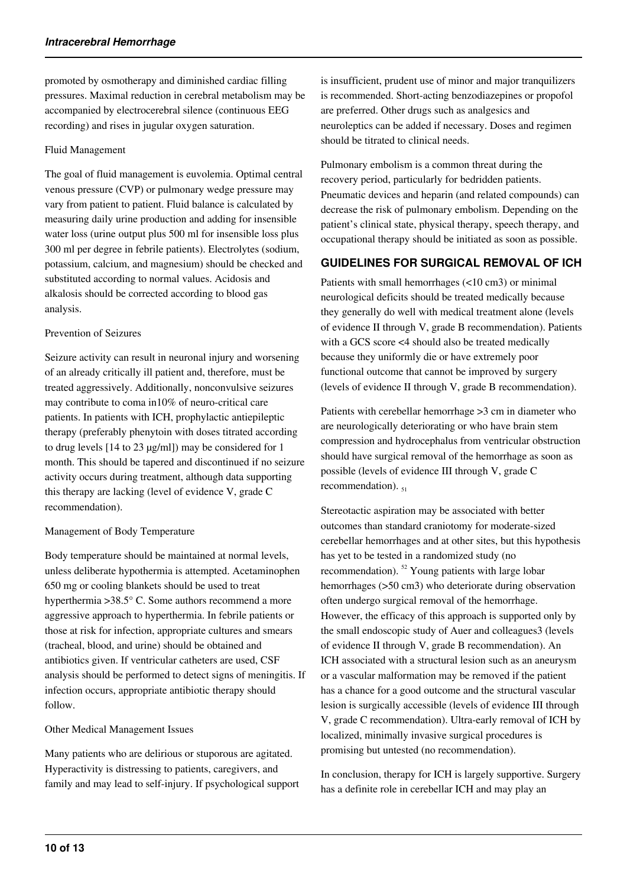promoted by osmotherapy and diminished cardiac filling pressures. Maximal reduction in cerebral metabolism may be accompanied by electrocerebral silence (continuous EEG recording) and rises in jugular oxygen saturation.

### Fluid Management

The goal of fluid management is euvolemia. Optimal central venous pressure (CVP) or pulmonary wedge pressure may vary from patient to patient. Fluid balance is calculated by measuring daily urine production and adding for insensible water loss (urine output plus 500 ml for insensible loss plus 300 ml per degree in febrile patients). Electrolytes (sodium, potassium, calcium, and magnesium) should be checked and substituted according to normal values. Acidosis and alkalosis should be corrected according to blood gas analysis.

### Prevention of Seizures

Seizure activity can result in neuronal injury and worsening of an already critically ill patient and, therefore, must be treated aggressively. Additionally, nonconvulsive seizures may contribute to coma in10% of neuro-critical care patients. In patients with ICH, prophylactic antiepileptic therapy (preferably phenytoin with doses titrated according to drug levels [14 to 23 µg/ml]) may be considered for 1 month. This should be tapered and discontinued if no seizure activity occurs during treatment, although data supporting this therapy are lacking (level of evidence V, grade C recommendation).

### Management of Body Temperature

Body temperature should be maintained at normal levels, unless deliberate hypothermia is attempted. Acetaminophen 650 mg or cooling blankets should be used to treat hyperthermia >38.5° C. Some authors recommend a more aggressive approach to hyperthermia. In febrile patients or those at risk for infection, appropriate cultures and smears (tracheal, blood, and urine) should be obtained and antibiotics given. If ventricular catheters are used, CSF analysis should be performed to detect signs of meningitis. If infection occurs, appropriate antibiotic therapy should follow.

### Other Medical Management Issues

Many patients who are delirious or stuporous are agitated. Hyperactivity is distressing to patients, caregivers, and family and may lead to self-injury. If psychological support is insufficient, prudent use of minor and major tranquilizers is recommended. Short-acting benzodiazepines or propofol are preferred. Other drugs such as analgesics and neuroleptics can be added if necessary. Doses and regimen should be titrated to clinical needs.

Pulmonary embolism is a common threat during the recovery period, particularly for bedridden patients. Pneumatic devices and heparin (and related compounds) can decrease the risk of pulmonary embolism. Depending on the patient's clinical state, physical therapy, speech therapy, and occupational therapy should be initiated as soon as possible.

## **GUIDELINES FOR SURGICAL REMOVAL OF ICH**

Patients with small hemorrhages (<10 cm3) or minimal neurological deficits should be treated medically because they generally do well with medical treatment alone (levels of evidence II through V, grade B recommendation). Patients with a GCS score <4 should also be treated medically because they uniformly die or have extremely poor functional outcome that cannot be improved by surgery (levels of evidence II through V, grade B recommendation).

Patients with cerebellar hemorrhage >3 cm in diameter who are neurologically deteriorating or who have brain stem compression and hydrocephalus from ventricular obstruction should have surgical removal of the hemorrhage as soon as possible (levels of evidence III through V, grade C recommendation).  $_{51}$ 

Stereotactic aspiration may be associated with better outcomes than standard craniotomy for moderate-sized cerebellar hemorrhages and at other sites, but this hypothesis has yet to be tested in a randomized study (no recommendation). <sup>52</sup> Young patients with large lobar hemorrhages ( $>50$  cm3) who deteriorate during observation often undergo surgical removal of the hemorrhage. However, the efficacy of this approach is supported only by the small endoscopic study of Auer and colleagues3 (levels of evidence II through V, grade B recommendation). An ICH associated with a structural lesion such as an aneurysm or a vascular malformation may be removed if the patient has a chance for a good outcome and the structural vascular lesion is surgically accessible (levels of evidence III through V, grade C recommendation). Ultra-early removal of ICH by localized, minimally invasive surgical procedures is promising but untested (no recommendation).

In conclusion, therapy for ICH is largely supportive. Surgery has a definite role in cerebellar ICH and may play an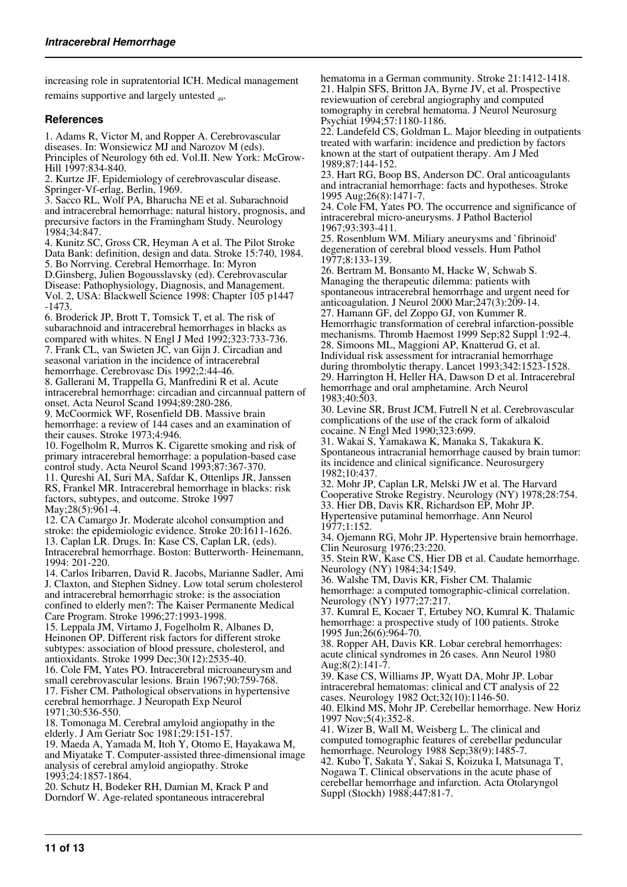increasing role in supratentorial ICH. Medical management remains supportive and largely untested <sub>49</sub>.

## **References**

1. Adams R, Victor M, and Ropper A. Cerebrovascular diseases. In: Wonsiewicz MJ and Narozov M (eds). Principles of Neurology 6th ed. Vol.II. New York: McGrow-Hill 1997:834-840.

2. Kurtze JF. Epidemiology of cerebrovascular disease. Springer-Vf-erlag, Berlin, 1969.

3. Sacco RL, Wolf PA, Bharucha NE et al. Subarachnoid and intracerebral hemorrhage: natural history, prognosis, and precursive factors in the Framingham Study. Neurology 1984;34:847.

4. Kunitz SC, Gross CR, Heyman A et al. The Pilot Stroke Data Bank: definition, design and data. Stroke 15:740, 1984. 5. Bo Norrving. Cerebral Hemorrhage. In: Myron D.Ginsberg, Julien Bogousslavsky (ed). Cerebrovascular Disease: Pathophysiology, Diagnosis, and Management. Vol. 2, USA: Blackwell Science 1998: Chapter 105 p1447 -1473.

6. Broderick JP, Brott T, Tomsick T, et al. The risk of subarachnoid and intracerebral hemorrhages in blacks as compared with whites. N Engl J Med 1992;323:733-736. 7. Frank CL, van Swieten JC, van Gijn J. Circadian and seasonal variation in the incidence of intracerebral

hemorrhage. Cerebrovasc Dis 1992;2:44-46.

8. Gallerani M, Trappella G, Manfredini R et al. Acute intracerebral hemorrhage: circadian and circannual pattern of onset. Acta Neurol Scand 1994;89:280-286.

9. McCoormick WF, Rosenfield DB. Massive brain hemorrhage: a review of 144 cases and an examination of their causes. Stroke 1973;4:946.

10. Fogelholm R, Murros K. Cigarette smoking and risk of primary intracerebral hemorrhage: a population-based case control study. Acta Neurol Scand 1993;87:367-370.

11. Qureshi AI, Suri MA, Safdar K, Ottenlips JR, Janssen RS, Frankel MR. Intracerebral hemorrhage in blacks: risk factors, subtypes, and outcome. Stroke 1997 May; 28(5): 961-4.

12. CA Camargo Jr. Moderate alcohol consumption and stroke: the epidemiologic evidence. Stroke 20:1611-1626. 13. Caplan LR. Drugs. In: Kase CS, Caplan LR, (eds). Intracerebral hemorrhage. Boston: Butterworth- Heinemann, 1994: 201-220.

14. Carlos Iribarren, David R. Jacobs, Marianne Sadler, Ami J. Claxton, and Stephen Sidney. Low total serum cholesterol and intracerebral hemorrhagic stroke: is the association confined to elderly men?: The Kaiser Permanente Medical Care Program. Stroke 1996;27:1993-1998.

15. Leppala JM, Virtamo J, Fogelholm R, Albanes D, Heinonen OP. Different risk factors for different stroke subtypes: association of blood pressure, cholesterol, and antioxidants. Stroke 1999 Dec;30(12):2535-40.

16. Cole FM, Yates PO. Intracerebral microaneurysm and small cerebrovascular lesions. Brain 1967;90:759-768. 17. Fisher CM. Pathological observations in hypertensive cerebral hemorrhage. J Neuropath Exp Neurol 1971;30:536-550.

18. Tomonaga M. Cerebral amyloid angiopathy in the elderly. J Am Geriatr Soc 1981;29:151-157.

19. Maeda A, Yamada M, Itoh Y, Otomo E, Hayakawa M, and Miyatake T. Computer-assisted three-dimensional image analysis of cerebral amyloid angiopathy. Stroke 1993;24:1857-1864.

20. Schutz H, Bodeker RH, Damian M, Krack P and Dorndorf W. Age-related spontaneous intracerebral

hematoma in a German community. Stroke 21:1412-1418. 21. Halpin SFS, Britton JA, Byrne JV, et al. Prospective reviewuation of cerebral angiography and computed tomography in cerebral hematoma. J Neurol Neurosurg Psychiat 1994;57:1180-1186.

22. Landefeld CS, Goldman L. Major bleeding in outpatients treated with warfarin: incidence and prediction by factors known at the start of outpatient therapy. Am J Med 1989;87:144-152.

23. Hart RG, Boop BS, Anderson DC. Oral anticoagulants and intracranial hemorrhage: facts and hypotheses. Stroke 1995 Aug;26(8):1471-7.

24. Cole FM, Yates PO. The occurrence and significance of intracerebral micro-aneurysms. J Pathol Bacteriol 1967;93:393-411.

25. Rosenblum WM. Miliary aneurysms and `fibrinoid' degeneration of cerebral blood vessels. Hum Pathol 1977;8:133-139.

26. Bertram M, Bonsanto M, Hacke W, Schwab S. Managing the therapeutic dilemma: patients with spontaneous intracerebral hemorrhage and urgent need for anticoagulation. J Neurol 2000 Mar;247(3):209-14. 27. Hamann GF, del Zoppo GJ, von Kummer R. Hemorrhagic transformation of cerebral infarction-possible

mechanisms. Thromb Haemost 1999 Sep;82 Suppl 1:92-4. 28. Simoons ML, Maggioni AP, Knatterud G, et al. Individual risk assessment for intracranial hemorrhage during thrombolytic therapy. Lancet 1993;342:1523-1528. 29. Harrington H, Heller HA, Dawson D et al. Intracerebral hemorrhage and oral amphetamine. Arch Neurol 1983;40:503.

30. Levine SR, Brust JCM, Futrell N et al. Cerebrovascular complications of the use of the crack form of alkaloid cocaine. N Engl Med 1990;323:699.

31. Wakai S, Yamakawa K, Manaka S, Takakura K. Spontaneous intracranial hemorrhage caused by brain tumor: its incidence and clinical significance. Neurosurgery 1982;10:437.

32. Mohr JP, Caplan LR, Melski JW et al. The Harvard Cooperative Stroke Registry. Neurology (NY) 1978;28:754. 33. Hier DB, Davis KR, Richardson EP, Mohr JP.

Hypertensive putaminal hemorrhage. Ann Neurol 1977;1:152.

34. Ojemann RG, Mohr JP. Hypertensive brain hemorrhage. Clin Neurosurg 1976;23:220.

35. Stein RW, Kase CS, Hier DB et al. Caudate hemorrhage. Neurology (NY) 1984;34:1549.

36. Walshe TM, Davis KR, Fisher CM. Thalamic hemorrhage: a computed tomographic-clinical correlation. Neurology (NY) 1977;27:217.

37. Kumral E, Kocaer T, Ertubey NO, Kumral K. Thalamic hemorrhage: a prospective study of 100 patients. Stroke 1995 Jun;26(6):964-70.

38. Ropper AH, Davis KR. Lobar cerebral hemorrhages: acute clinical syndromes in 26 cases. Ann Neurol 1980 Aug; $8(2)$ :141-7.

39. Kase CS, Williams JP, Wyatt DA, Mohr JP. Lobar intracerebral hematomas: clinical and CT analysis of 22 cases. Neurology 1982 Oct;32(10):1146-50. 40. Elkind MS, Mohr JP. Cerebellar hemorrhage. New Horiz 1997 Nov;5(4):352-8.

41. Wizer B, Wall M, Weisberg L. The clinical and computed tomographic features of cerebellar peduncular hemorrhage. Neurology 1988 Sep;38(9):1485-7.

42. Kubo T, Sakata Y, Sakai S, Koizuka I, Matsunaga T, Nogawa T. Clinical observations in the acute phase of cerebellar hemorrhage and infarction. Acta Otolaryngol Suppl (Stockh) 1988;447:81-7.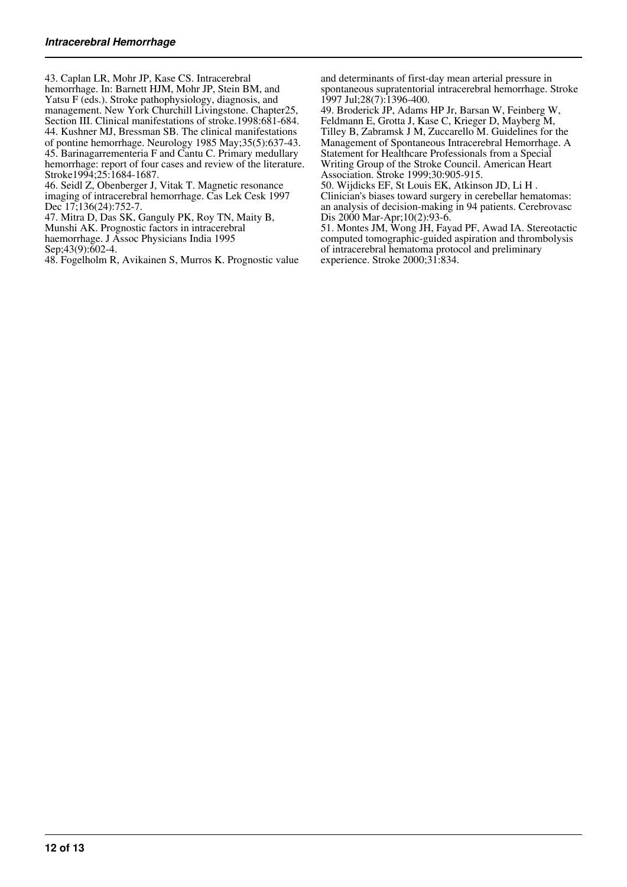43. Caplan LR, Mohr JP, Kase CS. Intracerebral hemorrhage. In: Barnett HJM, Mohr JP, Stein BM, and Yatsu F (eds.). Stroke pathophysiology, diagnosis, and management. New York Churchill Livingstone. Chapter25, Section III. Clinical manifestations of stroke.1998:681-684. 44. Kushner MJ, Bressman SB. The clinical manifestations of pontine hemorrhage. Neurology 1985 May;35(5):637-43. 45. Barinagarrementeria F and Cantu C. Primary medullary hemorrhage: report of four cases and review of the literature. Stroke1994:25:1684-1687.

46. Seidl Z, Obenberger J, Vitak T. Magnetic resonance imaging of intracerebral hemorrhage. Cas Lek Cesk 1997 Dec 17;136(24):752-7.

47. Mitra D, Das SK, Ganguly PK, Roy TN, Maity B,

Munshi AK. Prognostic factors in intracerebral

haemorrhage. J Assoc Physicians India 1995

Sep; 43(9): 602-4.

48. Fogelholm R, Avikainen S, Murros K. Prognostic value

and determinants of first-day mean arterial pressure in spontaneous supratentorial intracerebral hemorrhage. Stroke 1997 Jul;28(7):1396-400.

49. Broderick JP, Adams HP Jr, Barsan W, Feinberg W, Feldmann E, Grotta J, Kase C, Krieger D, Mayberg M, Tilley B, Zabramsk J M, Zuccarello M. Guidelines for the Management of Spontaneous Intracerebral Hemorrhage. A Statement for Healthcare Professionals from a Special Writing Group of the Stroke Council. American Heart Association. Stroke 1999;30:905-915.

50. Wijdicks EF, St Louis EK, Atkinson JD, Li H . Clinician's biases toward surgery in cerebellar hematomas: an analysis of decision-making in 94 patients. Cerebrovasc Dis 2000 Mar-Apr;10(2):93-6.

51. Montes JM, Wong JH, Fayad PF, Awad IA. Stereotactic computed tomographic-guided aspiration and thrombolysis of intracerebral hematoma protocol and preliminary experience. Stroke 2000;31:834.